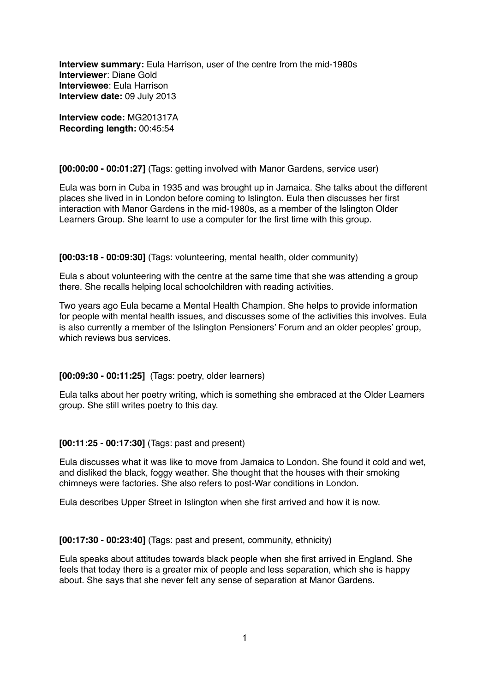**Interview summary:** Eula Harrison, user of the centre from the mid-1980s **Interviewer**: Diane Gold **Interviewee**: Eula Harrison **Interview date:** 09 July 2013

**Interview code:** MG201317A **Recording length:** 00:45:54

#### **[00:00:00 - 00:01:27]** (Tags: getting involved with Manor Gardens, service user)

Eula was born in Cuba in 1935 and was brought up in Jamaica. She talks about the different places she lived in in London before coming to Islington. Eula then discusses her first interaction with Manor Gardens in the mid-1980s, as a member of the Islington Older Learners Group. She learnt to use a computer for the first time with this group.

#### **[00:03:18 - 00:09:30]** (Tags: volunteering, mental health, older community)

Eula s about volunteering with the centre at the same time that she was attending a group there. She recalls helping local schoolchildren with reading activities.

Two years ago Eula became a Mental Health Champion. She helps to provide information for people with mental health issues, and discusses some of the activities this involves. Eula is also currently a member of the Islington Pensioners' Forum and an older peoples' group, which reviews bus services.

# **[00:09:30 - 00:11:25]** (Tags: poetry, older learners)

Eula talks about her poetry writing, which is something she embraced at the Older Learners group. She still writes poetry to this day.

# **[00:11:25 - 00:17:30]** (Tags: past and present)

Eula discusses what it was like to move from Jamaica to London. She found it cold and wet, and disliked the black, foggy weather. She thought that the houses with their smoking chimneys were factories. She also refers to post-War conditions in London.

Eula describes Upper Street in Islington when she first arrived and how it is now.

# **[00:17:30 - 00:23:40]** (Tags: past and present, community, ethnicity)

Eula speaks about attitudes towards black people when she first arrived in England. She feels that today there is a greater mix of people and less separation, which she is happy about. She says that she never felt any sense of separation at Manor Gardens.